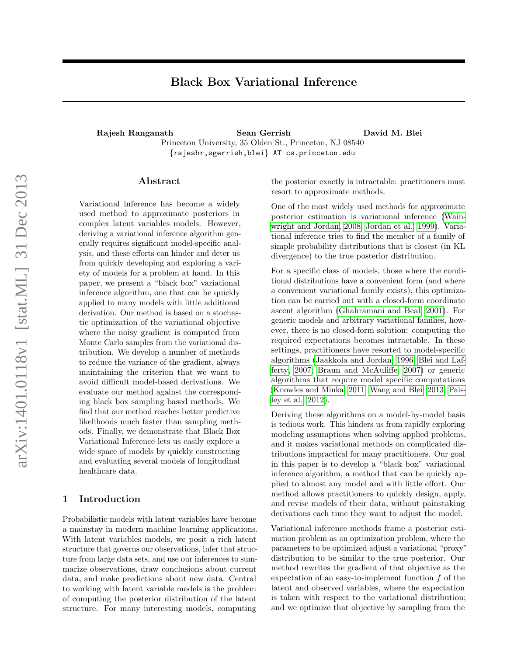# Black Box Variational Inference

<span id="page-0-0"></span>Rajesh Ranganath Sean Gerrish David M. Blei Princeton University, 35 Olden St., Princeton, NJ 08540 {rajeshr,sgerrish,blei} AT cs.princeton.edu

### Abstract

Variational inference has become a widely used method to approximate posteriors in complex latent variables models. However, deriving a variational inference algorithm generally requires significant model-specific analysis, and these efforts can hinder and deter us from quickly developing and exploring a variety of models for a problem at hand. In this paper, we present a "black box" variational inference algorithm, one that can be quickly applied to many models with little additional derivation. Our method is based on a stochastic optimization of the variational objective where the noisy gradient is computed from Monte Carlo samples from the variational distribution. We develop a number of methods to reduce the variance of the gradient, always maintaining the criterion that we want to avoid difficult model-based derivations. We evaluate our method against the corresponding black box sampling based methods. We find that our method reaches better predictive likelihoods much faster than sampling methods. Finally, we demonstrate that Black Box Variational Inference lets us easily explore a wide space of models by quickly constructing and evaluating several models of longitudinal healthcare data.

# 1 Introduction

Probabilistic models with latent variables have become a mainstay in modern machine learning applications. With latent variables models, we posit a rich latent structure that governs our observations, infer that structure from large data sets, and use our inferences to summarize observations, draw conclusions about current data, and make predictions about new data. Central to working with latent variable models is the problem of computing the posterior distribution of the latent structure. For many interesting models, computing the posterior exactly is intractable: practitioners must resort to approximate methods.

One of the most widely used methods for approximate posterior estimation is variational inference [\(Wain](#page-9-0)[wright and Jordan, 2008;](#page-9-0) [Jordan et al., 1999\)](#page-8-0). Variational inference tries to find the member of a family of simple probability distributions that is closest (in KL divergence) to the true posterior distribution.

For a specific class of models, those where the conditional distributions have a convenient form (and where a convenient variational family exists), this optimization can be carried out with a closed-form coordinate ascent algorithm [\(Ghahramani and Beal, 2001\)](#page-8-1). For generic models and arbitrary variational families, however, there is no closed-form solution: computing the required expectations becomes intractable. In these settings, practitioners have resorted to model-specific algorithms [\(Jaakkola and Jordan, 1996;](#page-8-2) [Blei and Laf](#page-8-3)[ferty, 2007;](#page-8-3) [Braun and McAuliffe, 2007\)](#page-8-4) or generic algorithms that require model specific computations [\(Knowles and Minka, 2011;](#page-8-5) [Wang and Blei, 2013;](#page-9-1) [Pais](#page-9-2)[ley et al., 2012\)](#page-9-2).

Deriving these algorithms on a model-by-model basis is tedious work. This hinders us from rapidly exploring modeling assumptions when solving applied problems, and it makes variational methods on complicated distributions impractical for many practitioners. Our goal in this paper is to develop a "black box" variational inference algorithm, a method that can be quickly applied to almost any model and with little effort. Our method allows practitioners to quickly design, apply, and revise models of their data, without painstaking derivations each time they want to adjust the model.

Variational inference methods frame a posterior estimation problem as an optimization problem, where the parameters to be optimized adjust a variational "proxy" distribution to be similar to the true posterior. Our method rewrites the gradient of that objective as the expectation of an easy-to-implement function  $f$  of the latent and observed variables, where the expectation is taken with respect to the variational distribution; and we optimize that objective by sampling from the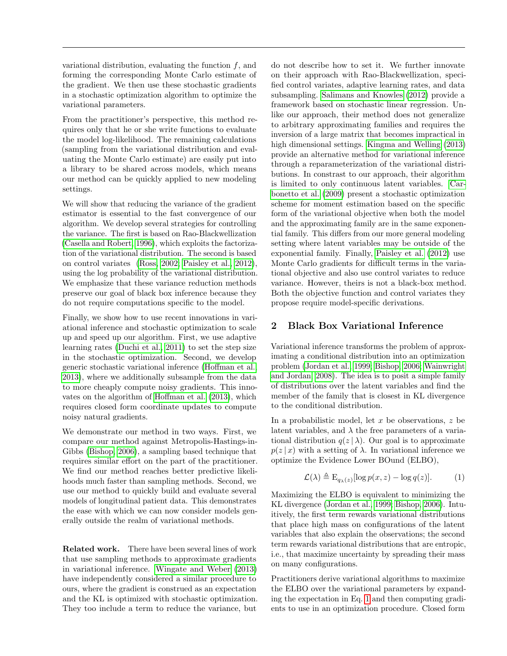variational distribution, evaluating the function  $f$ , and forming the corresponding Monte Carlo estimate of the gradient. We then use these stochastic gradients in a stochastic optimization algorithm to optimize the variational parameters.

From the practitioner's perspective, this method requires only that he or she write functions to evaluate the model log-likelihood. The remaining calculations (sampling from the variational distribution and evaluating the Monte Carlo estimate) are easily put into a library to be shared across models, which means our method can be quickly applied to new modeling settings.

We will show that reducing the variance of the gradient estimator is essential to the fast convergence of our algorithm. We develop several strategies for controlling the variance. The first is based on Rao-Blackwellization [\(Casella and Robert, 1996\)](#page-8-6), which exploits the factorization of the variational distribution. The second is based on control variates [\(Ross, 2002;](#page-9-3) [Paisley et al., 2012\)](#page-9-2), using the log probability of the variational distribution. We emphasize that these variance reduction methods preserve our goal of black box inference because they do not require computations specific to the model.

Finally, we show how to use recent innovations in variational inference and stochastic optimization to scale up and speed up our algorithm. First, we use adaptive learning rates [\(Duchi et al., 2011\)](#page-8-7) to set the step size in the stochastic optimization. Second, we develop generic stochastic variational inference [\(Hoffman et al.,](#page-8-8) [2013\)](#page-8-8), where we additionally subsample from the data to more cheaply compute noisy gradients. This innovates on the algorithm of [Hoffman et al.](#page-8-8) [\(2013\)](#page-8-8), which requires closed form coordinate updates to compute noisy natural gradients.

We demonstrate our method in two ways. First, we compare our method against Metropolis-Hastings-in-Gibbs [\(Bishop, 2006\)](#page-8-9), a sampling based technique that requires similar effort on the part of the practitioner. We find our method reaches better predictive likelihoods much faster than sampling methods. Second, we use our method to quickly build and evaluate several models of longitudinal patient data. This demonstrates the ease with which we can now consider models generally outside the realm of variational methods.

Related work. There have been several lines of work that use sampling methods to approximate gradients in variational inference. [Wingate and Weber](#page-9-4) [\(2013\)](#page-9-4) have independently considered a similar procedure to ours, where the gradient is construed as an expectation and the KL is optimized with stochastic optimization. They too include a term to reduce the variance, but

do not describe how to set it. We further innovate on their approach with Rao-Blackwellization, specified control variates, adaptive learning rates, and data subsampling. [Salimans and Knowles](#page-9-5) [\(2012\)](#page-9-5) provide a framework based on stochastic linear regression. Unlike our approach, their method does not generalize to arbitrary approximating families and requires the inversion of a large matrix that becomes impractical in high dimensional settings. [Kingma and Welling](#page-8-10) [\(2013\)](#page-8-10) provide an alternative method for variational inference through a reparameterization of the variational distributions. In constrast to our approach, their algorithm is limited to only continuous latent variables. [Car](#page-8-11)[bonetto et al.](#page-8-11) [\(2009\)](#page-8-11) present a stochastic optimization scheme for moment estimation based on the specific form of the variational objective when both the model and the approximating family are in the same exponential family. This differs from our more general modeling setting where latent variables may be outside of the exponential family. Finally, [Paisley et al.](#page-9-2) [\(2012\)](#page-9-2) use Monte Carlo gradients for difficult terms in the variational objective and also use control variates to reduce variance. However, theirs is not a black-box method. Both the objective function and control variates they propose require model-specific derivations.

# 2 Black Box Variational Inference

Variational inference transforms the problem of approximating a conditional distribution into an optimization problem [\(Jordan et al., 1999;](#page-8-0) [Bishop, 2006;](#page-8-9) [Wainwright](#page-9-0) [and Jordan, 2008\)](#page-9-0). The idea is to posit a simple family of distributions over the latent variables and find the member of the family that is closest in KL divergence to the conditional distribution.

In a probabilistic model, let  $x$  be observations,  $z$  be latent variables, and  $\lambda$  the free parameters of a variational distribution  $q(z | \lambda)$ . Our goal is to approximate  $p(z | x)$  with a setting of  $\lambda$ . In variational inference we optimize the Evidence Lower BOund (ELBO),

<span id="page-1-0"></span>
$$
\mathcal{L}(\lambda) \triangleq \mathcal{E}_{q_{\lambda}(z)}[\log p(x, z) - \log q(z)]. \tag{1}
$$

Maximizing the ELBO is equivalent to minimizing the KL divergence [\(Jordan et al., 1999;](#page-8-0) [Bishop, 2006\)](#page-8-9). Intuitively, the first term rewards variational distributions that place high mass on configurations of the latent variables that also explain the observations; the second term rewards variational distributions that are entropic, i.e., that maximize uncertainty by spreading their mass on many configurations.

Practitioners derive variational algorithms to maximize the ELBO over the variational parameters by expanding the expectation in Eq. [1](#page-1-0) and then computing gradients to use in an optimization procedure. Closed form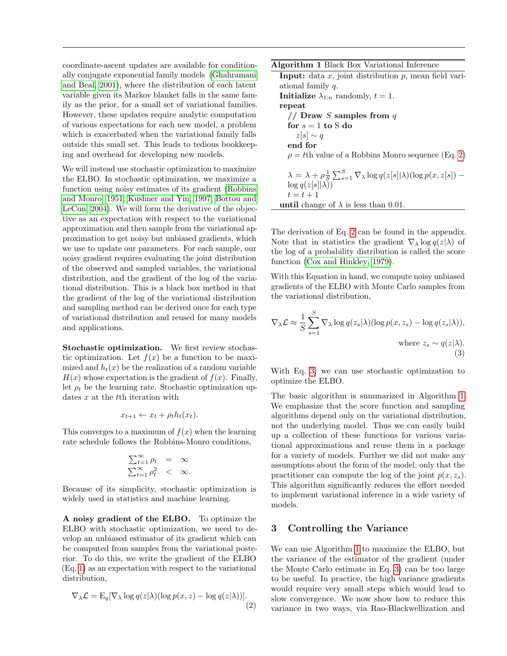coordinate-ascent updates are available for conditionally conjugate exponential family models [\(Ghahramani](#page-8-1) [and Beal, 2001\)](#page-8-1), where the distribution of each latent variable given its Markov blanket falls in the same family as the prior, for a small set of variational families. However, these updates require analytic computation of various expectations for each new model, a problem which is exacerbated when the variational family falls outside this small set. This leads to tedious bookkeeping and overhead for developing new models.

We will instead use stochastic optimization to maximize the ELBO. In stochastic optimization, we maximize a function using noisy estimates of its gradient [\(Robbins](#page-9-6) [and Monro, 1951;](#page-9-6) [Kushner and Yin, 1997;](#page-8-12) [Bottou and](#page-8-13) [LeCun, 2004\)](#page-8-13). We will form the derivative of the objective as an expectation with respect to the variational approximation and then sample from the variational approximation to get noisy but unbiased gradients, which we use to update our parameters. For each sample, our noisy gradient requires evaluating the joint distribution of the observed and sampled variables, the variational distribution, and the gradient of the log of the variational distribution. This is a black box method in that the gradient of the log of the variational distribution and sampling method can be derived once for each type of variational distribution and reused for many models and applications.

Stochastic optimization. We first review stochastic optimization. Let  $f(x)$  be a function to be maximized and  $h_t(x)$  be the realization of a random variable  $H(x)$  whose expectation is the gradient of  $f(x)$ . Finally, let  $\rho_t$  be the learning rate. Stochastic optimization updates x at the t<sup>th</sup> iteration with

$$
x_{t+1} \leftarrow x_t + \rho_t h_t(x_t).
$$

This converges to a maximum of  $f(x)$  when the learning rate schedule follows the Robbins-Monro conditions,

$$
\sum_{t=1}^{\infty} \rho_t = \infty
$$
  

$$
\sum_{t=1}^{\infty} \rho_t^2 < \infty.
$$

Because of its simplicity, stochastic optimization is widely used in statistics and machine learning.

A noisy gradient of the ELBO. To optimize the ELBO with stochastic optimization, we need to develop an unbiased estimator of its gradient which can be computed from samples from the variational posterior. To do this, we write the gradient of the ELBO (Eq. [1\)](#page-1-0) as an expectation with respect to the variational distribution,

$$
\nabla_{\lambda} \mathcal{L} = \mathcal{E}_{q}[\nabla_{\lambda} \log q(z|\lambda)(\log p(x, z) - \log q(z|\lambda))].
$$
\n(2)

<span id="page-2-2"></span>Algorithm 1 Black Box Variational Inference

**Input:** data  $x$ , joint distribution  $p$ , mean field variational family q. **Initialize**  $\lambda_{1:n}$  randomly,  $t = 1$ . repeat // Draw S samples from  $q$ for  $s = 1$  to S do  $z[s] \sim q$ end for  $\rho = t$ th value of a Robbins Monro sequence (Eq. [2\)](#page-0-0)  $\lambda = \lambda + \rho \frac{1}{S} \sum_{s=1}^{S} \nabla_{\lambda} \log q(z[s] | \lambda) (\log p(x, z[s]) \log q(z[s||\lambda))$  $t = t + 1$ until change of  $\lambda$  is less than 0.01.

The derivation of Eq. [2](#page-2-0) can be found in the appendix. Note that in statistics the gradient  $\nabla_{\lambda} \log q(z|\lambda)$  of the log of a probability distribution is called the score function [\(Cox and Hinkley, 1979\)](#page-8-14).

With this Equation in hand, we compute noisy unbiased gradients of the ELBO with Monte Carlo samples from the variational distribution,

$$
\nabla_{\lambda} \mathcal{L} \approx \frac{1}{S} \sum_{s=1}^{S} \nabla_{\lambda} \log q(z_s | \lambda) (\log p(x, z_s) - \log q(z_s | \lambda)),
$$
  
where  $z_s \sim q(z | \lambda)$ . (3)

<span id="page-2-1"></span>With Eq. [3,](#page-2-1) we can use stochastic optimization to optimize the ELBO.

The basic algorithm is summarized in Algorithm [1.](#page-2-2) We emphasize that the score function and sampling algorithms depend only on the variational distribution, not the underlying model. Thus we can easily build up a collection of these functions for various variational approximations and reuse them in a package for a variety of models. Further we did not make any assumptions about the form of the model, only that the practitioner can compute the log of the joint  $p(x, z_s)$ . This algorithm significantly reduces the effort needed to implement variational inference in a wide variety of models.

# 3 Controlling the Variance

<span id="page-2-0"></span>We can use Algorithm [1](#page-2-2) to maximize the ELBO, but the variance of the estimator of the gradient (under the Monte Carlo estimate in Eq. [3\)](#page-2-1) can be too large to be useful. In practice, the high variance gradients would require very small steps which would lead to slow convergence. We now show how to reduce this variance in two ways, via Rao-Blackwellization and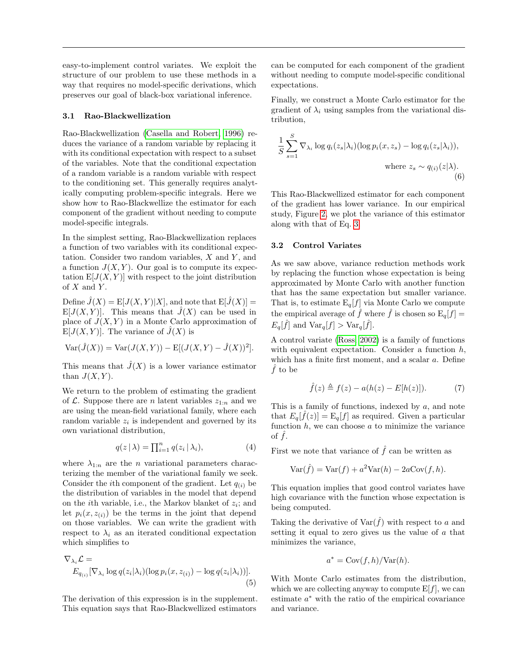easy-to-implement control variates. We exploit the structure of our problem to use these methods in a way that requires no model-specific derivations, which preserves our goal of black-box variational inference.

## 3.1 Rao-Blackwellization

Rao-Blackwellization [\(Casella and Robert, 1996\)](#page-8-6) reduces the variance of a random variable by replacing it with its conditional expectation with respect to a subset of the variables. Note that the conditional expectation of a random variable is a random variable with respect to the conditioning set. This generally requires analytically computing problem-specific integrals. Here we show how to Rao-Blackwellize the estimator for each component of the gradient without needing to compute model-specific integrals.

In the simplest setting, Rao-Blackwellization replaces a function of two variables with its conditional expectation. Consider two random variables,  $X$  and  $Y$ , and a function  $J(X, Y)$ . Our goal is to compute its expectation  $E[J(X, Y)]$  with respect to the joint distribution of  $X$  and  $Y$ .

Define  $\hat{J}(X) = E[J(X, Y)|X]$ , and note that  $E[\hat{J}(X)] =$  $E[J(X, Y)]$ . This means that  $\hat{J}(X)$  can be used in place of  $J(X, Y)$  in a Monte Carlo approximation of  $E[J(X, Y)].$  The variance of  $\hat{J}(X)$  is

$$
Var(\hat{J}(X)) = Var(J(X, Y)) - E[(J(X, Y) - \hat{J}(X))^2].
$$

This means that  $\hat{J}(X)$  is a lower variance estimator than  $J(X, Y)$ .

We return to the problem of estimating the gradient of  $\mathcal{L}$ . Suppose there are *n* latent variables  $z_{1:n}$  and we are using the mean-field variational family, where each random variable  $z_i$  is independent and governed by its own variational distribution,

$$
q(z | \lambda) = \prod_{i=1}^{n} q(z_i | \lambda_i), \qquad (4)
$$

where  $\lambda_{1:n}$  are the *n* variational parameters characterizing the member of the variational family we seek. Consider the *i*th component of the gradient. Let  $q(i)$  be the distribution of variables in the model that depend on the *i*th variable, i.e., the Markov blanket of  $z_i$ ; and let  $p_i(x, z_{(i)})$  be the terms in the joint that depend on those variables. We can write the gradient with respect to  $\lambda_i$  as an iterated conditional expectation which simplifies to

$$
\nabla_{\lambda_i} \mathcal{L} =
$$
  
\n
$$
E_{q_{(i)}}[\nabla_{\lambda_i} \log q(z_i|\lambda_i)(\log p_i(x, z_{(i)}) - \log q(z_i|\lambda_i))].
$$
  
\n(5)

The derivation of this expression is in the supplement. This equation says that Rao-Blackwellized estimators

can be computed for each component of the gradient without needing to compute model-specific conditional expectations.

Finally, we construct a Monte Carlo estimator for the gradient of  $\lambda_i$  using samples from the variational distribution,

<span id="page-3-0"></span>
$$
\frac{1}{S} \sum_{s=1}^{S} \nabla_{\lambda_i} \log q_i(z_s | \lambda_i) (\log p_i(x, z_s) - \log q_i(z_s | \lambda_i)),
$$
  
where  $z_s \sim q_{(i)}(z | \lambda)$ . (6)

This Rao-Blackwellized estimator for each component of the gradient has lower variance. In our empirical study, Figure [2,](#page-7-0) we plot the variance of this estimator along with that of Eq. [3.](#page-2-1)

### 3.2 Control Variates

As we saw above, variance reduction methods work by replacing the function whose expectation is being approximated by Monte Carlo with another function that has the same expectation but smaller variance. That is, to estimate  $E_q[f]$  via Monte Carlo we compute the empirical average of  $\hat{f}$  where  $\hat{f}$  is chosen so  $\mathrm{E}_{q}[f] =$  $E_q[\hat{f}]$  and  $\text{Var}_q[f] > \text{Var}_q[\hat{f}].$ 

A control variate [\(Ross, 2002\)](#page-9-3) is a family of functions with equivalent expectation. Consider a function  $h$ , which has a finite first moment, and a scalar a. Define  $\hat{f}$  to be

$$
\hat{f}(z) \triangleq f(z) - a(h(z) - E[h(z)]). \tag{7}
$$

This is a family of functions, indexed by a, and note that  $E_q[\hat{f}(z)] = \mathrm{E}_q[f]$  as required. Given a particular function  $h$ , we can choose  $a$  to minimize the variance of  $\hat{f}$ .

First we note that variance of  $\hat{f}$  can be written as

$$
Var(\hat{f}) = Var(f) + a^2 Var(h) - 2aCov(f, h).
$$

This equation implies that good control variates have high covariance with the function whose expectation is being computed.

Taking the derivative of  $\text{Var}(\hat{f})$  with respect to a and setting it equal to zero gives us the value of a that minimizes the variance,

$$
a^* = \text{Cov}(f, h) / \text{Var}(h).
$$

With Monte Carlo estimates from the distribution, which we are collecting anyway to compute  $E[f]$ , we can estimate  $a^*$  with the ratio of the empirical covariance and variance.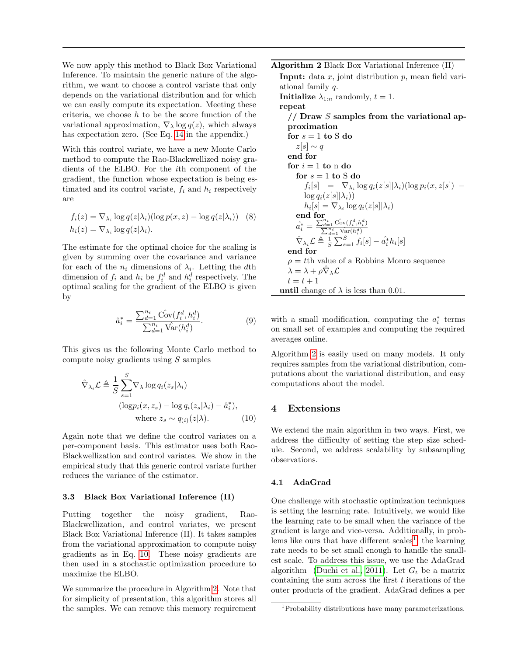We now apply this method to Black Box Variational Inference. To maintain the generic nature of the algorithm, we want to choose a control variate that only depends on the variational distribution and for which we can easily compute its expectation. Meeting these criteria, we choose  $h$  to be the score function of the variational approximation,  $\nabla_{\lambda} \log q(z)$ , which always has expectation zero. (See Eq. [14](#page-8-15) in the appendix.)

With this control variate, we have a new Monte Carlo method to compute the Rao-Blackwellized noisy gradients of the ELBO. For the ith component of the gradient, the function whose expectation is being estimated and its control variate,  $f_i$  and  $h_i$  respectively are

$$
f_i(z) = \nabla_{\lambda_i} \log q(z|\lambda_i) (\log p(x, z) - \log q(z|\lambda_i))
$$
 (8)  

$$
h_i(z) = \nabla_{\lambda_i} \log q(z|\lambda_i).
$$

The estimate for the optimal choice for the scaling is given by summing over the covariance and variance for each of the  $n_i$  dimensions of  $\lambda_i$ . Letting the dth dimension of  $f_i$  and  $h_i$  be  $f_i^d$  and  $h_i^d$  respectively. The optimal scaling for the gradient of the ELBO is given by

$$
\hat{a}_i^* = \frac{\sum_{d=1}^{n_i} \hat{\text{Cov}}(f_i^d, h_i^d)}{\sum_{d=1}^{n_i} \hat{\text{Var}}(h_i^d)}.
$$
\n(9)

This gives us the following Monte Carlo method to compute noisy gradients using S samples

$$
\hat{\nabla}_{\lambda_i} \mathcal{L} \triangleq \frac{1}{S} \sum_{s=1}^{S} \nabla_{\lambda} \log q_i(z_s | \lambda_i)
$$
\n
$$
(\log p_i(x, z_s) - \log q_i(z_s | \lambda_i) - \hat{a}_i^*),
$$
\nwhere  $z_s \sim q_{(i)}(z | \lambda)$ . (10)

Again note that we define the control variates on a per-component basis. This estimator uses both Rao-Blackwellization and control variates. We show in the empirical study that this generic control variate further reduces the variance of the estimator.

#### 3.3 Black Box Variational Inference (II)

Putting together the noisy gradient, Rao-Blackwellization, and control variates, we present Black Box Variational Inference (II). It takes samples from the variational approximation to compute noisy gradients as in Eq. [10.](#page-4-0) These noisy gradients are then used in a stochastic optimization procedure to maximize the ELBO.

We summarize the procedure in Algorithm [2.](#page-4-1) Note that for simplicity of presentation, this algorithm stores all the samples. We can remove this memory requirement <span id="page-4-1"></span>Algorithm 2 Black Box Variational Inference (II)

Input: data  $x$ , joint distribution  $p$ , mean field variational family q. **Initialize**  $\lambda_{1:n}$  randomly,  $t = 1$ . repeat  $\frac{1}{2}$  Draw S samples from the variational approximation for  $s=1$  to  $\mathbf S$  do  $z[s] \sim q$ end for for  $i = 1$  to n do for  $s = 1$  to S do  $f_i[s] = \nabla_{\lambda_i} \log q_i(z[s] | \lambda_i) (\log p_i(x, z[s]) \log q_i(z[s]|\lambda_i))$  $h_i[s] = \nabla_{\lambda_i} \log q_i(z[s] | \lambda_i)$ end for  $\hat{a_i^*} = \frac{\sum_{d=1}^{n_i} \hat{\text{Cov}}(f_i^d, h_i^d)}{\sum_{d=1}^{n_i} \hat{\text{Var}}(h_i^d)}$  $\hat{\nabla}_{\lambda_i} \mathcal{L} \triangleq \frac{1}{S} \sum_{s=1}^S f_i[s] - \hat{a_i}^* h_i[s]$ end for  $\rho = t$ th value of a Robbins Monro sequence  $\hat{\lambda} = \lambda + \rho \hat{\nabla}_{\lambda} \mathcal{L}$  $t = t + 1$ until change of  $\lambda$  is less than 0.01.

with a small modification, computing the  $a_i^*$  terms on small set of examples and computing the required averages online.

Algorithm [2](#page-4-1) is easily used on many models. It only requires samples from the variational distribution, computations about the variational distribution, and easy computations about the model.

# <span id="page-4-0"></span>4 Extensions

We extend the main algorithm in two ways. First, we address the difficulty of setting the step size schedule. Second, we address scalability by subsampling observations.

### 4.1 AdaGrad

One challenge with stochastic optimization techniques is setting the learning rate. Intuitively, we would like the learning rate to be small when the variance of the gradient is large and vice-versa. Additionally, in prob-lems like ours that have different scales<sup>[1](#page-4-2)</sup>, the learning rate needs to be set small enough to handle the smallest scale. To address this issue, we use the AdaGrad algorithm [\(Duchi et al., 2011\)](#page-8-7). Let  $G_t$  be a matrix containing the sum across the first  $t$  iterations of the outer products of the gradient. AdaGrad defines a per

<span id="page-4-2"></span><sup>1</sup>Probability distributions have many parameterizations.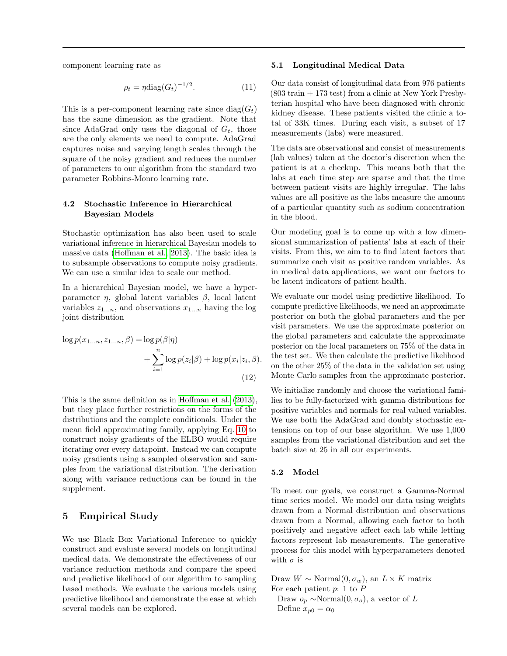component learning rate as

$$
\rho_t = \eta \text{diag}(G_t)^{-1/2}.
$$
\n(11)

This is a per-component learning rate since  $\text{diag}(G_t)$ has the same dimension as the gradient. Note that since AdaGrad only uses the diagonal of  $G_t$ , those are the only elements we need to compute. AdaGrad captures noise and varying length scales through the square of the noisy gradient and reduces the number of parameters to our algorithm from the standard two parameter Robbins-Monro learning rate.

## 4.2 Stochastic Inference in Hierarchical Bayesian Models

Stochastic optimization has also been used to scale variational inference in hierarchical Bayesian models to massive data [\(Hoffman et al., 2013\)](#page-8-8). The basic idea is to subsample observations to compute noisy gradients. We can use a similar idea to scale our method.

In a hierarchical Bayesian model, we have a hyperparameter  $\eta$ , global latent variables  $\beta$ , local latent variables  $z_{1...n}$ , and observations  $x_{1...n}$  having the log joint distribution

$$
\log p(x_{1...n}, z_{1...n}, \beta) = \log p(\beta|\eta)
$$

$$
+ \sum_{i=1}^{n} \log p(z_i|\beta) + \log p(x_i|z_i, \beta).
$$
(12)

This is the same definition as in [Hoffman et al.](#page-8-8) [\(2013\)](#page-8-8), but they place further restrictions on the forms of the distributions and the complete conditionals. Under the mean field approximating family, applying Eq. [10](#page-4-0) to construct noisy gradients of the ELBO would require iterating over every datapoint. Instead we can compute noisy gradients using a sampled observation and samples from the variational distribution. The derivation along with variance reductions can be found in the supplement.

# 5 Empirical Study

We use Black Box Variational Inference to quickly construct and evaluate several models on longitudinal medical data. We demonstrate the effectiveness of our variance reduction methods and compare the speed and predictive likelihood of our algorithm to sampling based methods. We evaluate the various models using predictive likelihood and demonstrate the ease at which several models can be explored.

#### 5.1 Longitudinal Medical Data

Our data consist of longitudinal data from 976 patients  $(803 \text{ train} + 173 \text{ test})$  from a clinic at New York Presbyterian hospital who have been diagnosed with chronic kidney disease. These patients visited the clinic a total of 33K times. During each visit, a subset of 17 measurements (labs) were measured.

The data are observational and consist of measurements (lab values) taken at the doctor's discretion when the patient is at a checkup. This means both that the labs at each time step are sparse and that the time between patient visits are highly irregular. The labs values are all positive as the labs measure the amount of a particular quantity such as sodium concentration in the blood.

Our modeling goal is to come up with a low dimensional summarization of patients' labs at each of their visits. From this, we aim to to find latent factors that summarize each visit as positive random variables. As in medical data applications, we want our factors to be latent indicators of patient health.

We evaluate our model using predictive likelihood. To compute predictive likelihoods, we need an approximate posterior on both the global parameters and the per visit parameters. We use the approximate posterior on the global parameters and calculate the approximate posterior on the local parameters on 75% of the data in the test set. We then calculate the predictive likelihood on the other 25% of the data in the validation set using Monte Carlo samples from the approximate posterior.

We initialize randomly and choose the variational families to be fully-factorized with gamma distributions for positive variables and normals for real valued variables. We use both the AdaGrad and doubly stochastic extensions on top of our base algorithm. We use 1,000 samples from the variational distribution and set the batch size at 25 in all our experiments.

### 5.2 Model

To meet our goals, we construct a Gamma-Normal time series model. We model our data using weights drawn from a Normal distribution and observations drawn from a Normal, allowing each factor to both positively and negative affect each lab while letting factors represent lab measurements. The generative process for this model with hyperparameters denoted with  $\sigma$  is

Draw  $W \sim \text{Normal}(0, \sigma_w)$ , an  $L \times K$  matrix For each patient  $p: 1$  to  $P$ 

Draw  $o_p \sim \text{Normal}(0, \sigma_o)$ , a vector of L Define  $x_{p0} = \alpha_0$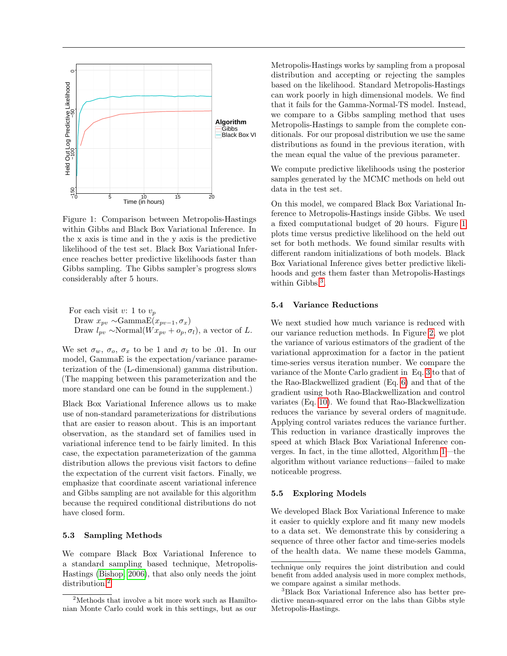

<span id="page-6-1"></span>Figure 1: Comparison between Metropolis-Hastings within Gibbs and Black Box Variational Inference. In the x axis is time and in the y axis is the predictive likelihood of the test set. Black Box Variational Inference reaches better predictive likelihoods faster than Gibbs sampling. The Gibbs sampler's progress slows considerably after 5 hours.

For each visit v: 1 to 
$$
v_p
$$
  
Draw  $x_{pv} \sim \text{Gamma}(x_{pv-1}, \sigma_x)$   
Draw  $l_{pv} \sim \text{Normal}(Wx_{pv} + o_p, \sigma_l)$ , a vector of L.

We set  $\sigma_w$ ,  $\sigma_o$ ,  $\sigma_x$  to be 1 and  $\sigma_l$  to be .01. In our model, GammaE is the expectation/variance parameterization of the (L-dimensional) gamma distribution. (The mapping between this parameterization and the more standard one can be found in the supplement.)

Black Box Variational Inference allows us to make use of non-standard parameterizations for distributions that are easier to reason about. This is an important observation, as the standard set of families used in variational inference tend to be fairly limited. In this case, the expectation parameterization of the gamma distribution allows the previous visit factors to define the expectation of the current visit factors. Finally, we emphasize that coordinate ascent variational inference and Gibbs sampling are not available for this algorithm because the required conditional distributions do not have closed form.

### 5.3 Sampling Methods

We compare Black Box Variational Inference to a standard sampling based technique, Metropolis-Hastings [\(Bishop, 2006\)](#page-8-9), that also only needs the joint distribution.<sup>[2](#page-6-0)</sup>

Metropolis-Hastings works by sampling from a proposal distribution and accepting or rejecting the samples based on the likelihood. Standard Metropolis-Hastings can work poorly in high dimensional models. We find that it fails for the Gamma-Normal-TS model. Instead, we compare to a Gibbs sampling method that uses Metropolis-Hastings to sample from the complete conditionals. For our proposal distribution we use the same distributions as found in the previous iteration, with the mean equal the value of the previous parameter.

We compute predictive likelihoods using the posterior samples generated by the MCMC methods on held out data in the test set.

On this model, we compared Black Box Variational Inference to Metropolis-Hastings inside Gibbs. We used a fixed computational budget of 20 hours. Figure [1](#page-6-1) plots time versus predictive likelihood on the held out set for both methods. We found similar results with different random initializations of both models. Black Box Variational Inference gives better predictive likelihoods and gets them faster than Metropolis-Hastings within Gibbs.<sup>[3](#page-6-2)</sup>.

### 5.4 Variance Reductions

We next studied how much variance is reduced with our variance reduction methods. In Figure [2,](#page-7-0) we plot the variance of various estimators of the gradient of the variational approximation for a factor in the patient time-series versus iteration number. We compare the variance of the Monte Carlo gradient in Eq. [3](#page-2-1) to that of the Rao-Blackwellized gradient (Eq. [6\)](#page-3-0) and that of the gradient using both Rao-Blackwellization and control variates (Eq. [10\)](#page-4-0). We found that Rao-Blackwellization reduces the variance by several orders of magnitude. Applying control variates reduces the variance further. This reduction in variance drastically improves the speed at which Black Box Variational Inference converges. In fact, in the time allotted, Algorithm [1—](#page-2-2)the algorithm without variance reductions—failed to make noticeable progress.

#### 5.5 Exploring Models

We developed Black Box Variational Inference to make it easier to quickly explore and fit many new models to a data set. We demonstrate this by considering a sequence of three other factor and time-series models of the health data. We name these models Gamma,

<span id="page-6-0"></span><sup>2</sup>Methods that involve a bit more work such as Hamiltonian Monte Carlo could work in this settings, but as our

technique only requires the joint distribution and could benefit from added analysis used in more complex methods, we compare against a similar methods.

<span id="page-6-2"></span><sup>3</sup>Black Box Variational Inference also has better predictive mean-squared error on the labs than Gibbs style Metropolis-Hastings.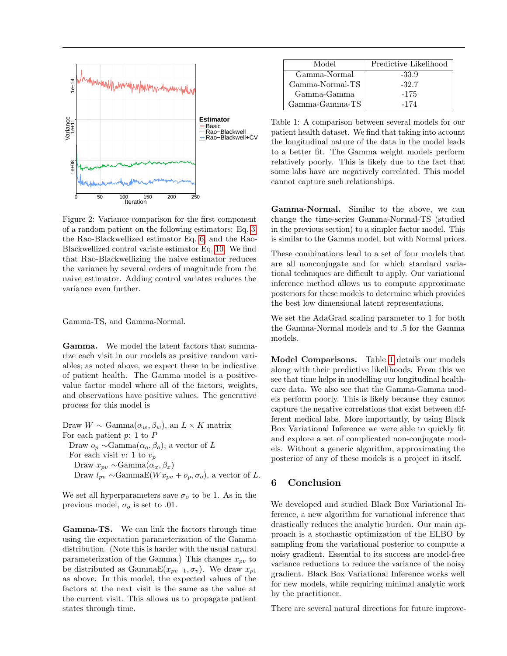

<span id="page-7-0"></span>Figure 2: Variance comparison for the first component of a random patient on the following estimators: Eq. [3,](#page-2-1) the Rao-Blackwellized estimator Eq. [6,](#page-3-0) and the Rao-Blackwellized control variate estimator Eq. [10.](#page-4-0) We find that Rao-Blackwellizing the naive estimator reduces the variance by several orders of magnitude from the naive estimator. Adding control variates reduces the variance even further.

Gamma-TS, and Gamma-Normal.

Gamma. We model the latent factors that summarize each visit in our models as positive random variables; as noted above, we expect these to be indicative of patient health. The Gamma model is a positivevalue factor model where all of the factors, weights, and observations have positive values. The generative process for this model is

Draw  $W \sim \text{Gamma}(\alpha_w, \beta_w)$ , an  $L \times K$  matrix For each patient  $p: 1$  to  $P$ Draw  $o_p \sim \text{Gamma}(\alpha_o, \beta_o)$ , a vector of L For each visit v: 1 to  $v_p$ Draw  $x_{pv} \sim \text{Gamma}(\alpha_x, \beta_x)$ Draw  $l_{pv} \sim \text{Gamma}(W x_{pv} + o_p, \sigma_o)$ , a vector of L.

We set all hyperparameters save  $\sigma_o$  to be 1. As in the previous model,  $\sigma_o$  is set to .01.

Gamma-TS. We can link the factors through time using the expectation parameterization of the Gamma distribution. (Note this is harder with the usual natural parameterization of the Gamma.) This changes  $x_{nn}$  to be distributed as GammaE $(x_{pv-1}, \sigma_v)$ . We draw  $x_{p1}$ as above. In this model, the expected values of the factors at the next visit is the same as the value at the current visit. This allows us to propagate patient states through time.

| Model           | Predictive Likelihood |
|-----------------|-----------------------|
| Gamma-Normal    | $-33.9$               |
| Gamma-Normal-TS | -32.7                 |
| Gamma-Gamma     | $-175$                |
| Gamma-Gamma-TS  | -174                  |

<span id="page-7-1"></span>Table 1: A comparison between several models for our patient health dataset. We find that taking into account the longitudinal nature of the data in the model leads to a better fit. The Gamma weight models perform relatively poorly. This is likely due to the fact that some labs have are negatively correlated. This model cannot capture such relationships.

Gamma-Normal. Similar to the above, we can change the time-series Gamma-Normal-TS (studied in the previous section) to a simpler factor model. This is similar to the Gamma model, but with Normal priors.

These combinations lead to a set of four models that are all nonconjugate and for which standard variational techniques are difficult to apply. Our variational inference method allows us to compute approximate posteriors for these models to determine which provides the best low dimensional latent representations.

We set the AdaGrad scaling parameter to 1 for both the Gamma-Normal models and to .5 for the Gamma models.

Model Comparisons. Table [1](#page-7-1) details our models along with their predictive likelihoods. From this we see that time helps in modelling our longitudinal healthcare data. We also see that the Gamma-Gamma models perform poorly. This is likely because they cannot capture the negative correlations that exist between different medical labs. More importantly, by using Black Box Variational Inference we were able to quickly fit and explore a set of complicated non-conjugate models. Without a generic algorithm, approximating the posterior of any of these models is a project in itself.

# 6 Conclusion

We developed and studied Black Box Variational Inference, a new algorithm for variational inference that drastically reduces the analytic burden. Our main approach is a stochastic optimization of the ELBO by sampling from the variational posterior to compute a noisy gradient. Essential to its success are model-free variance reductions to reduce the variance of the noisy gradient. Black Box Variational Inference works well for new models, while requiring minimal analytic work by the practitioner.

There are several natural directions for future improve-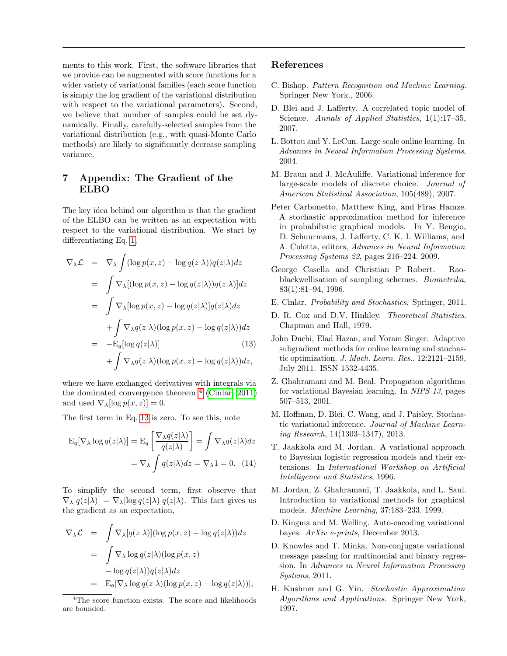ments to this work. First, the software libraries that we provide can be augmented with score functions for a wider variety of variational families (each score function is simply the log gradient of the variational distribution with respect to the variational parameters). Second, we believe that number of samples could be set dynamically. Finally, carefully-selected samples from the variational distribution (e.g., with quasi-Monte Carlo methods) are likely to significantly decrease sampling variance.

# 7 Appendix: The Gradient of the ELBO

The key idea behind our algorithm is that the gradient of the ELBO can be written as an expectation with respect to the variational distribution. We start by differentiating Eq. [1,](#page-1-0)

<span id="page-8-18"></span>
$$
\nabla_{\lambda} \mathcal{L} = \nabla_{\lambda} \int (\log p(x, z) - \log q(z|\lambda)) q(z|\lambda) dz
$$
  
\n
$$
= \int \nabla_{\lambda} [(\log p(x, z) - \log q(z|\lambda)) q(z|\lambda)] dz
$$
  
\n
$$
= \int \nabla_{\lambda} [\log p(x, z) - \log q(z|\lambda)] q(z|\lambda) dz
$$
  
\n
$$
+ \int \nabla_{\lambda} q(z|\lambda) (\log p(x, z) - \log q(z|\lambda)) dz
$$
  
\n
$$
= -\mathcal{E}_{q} [\log q(z|\lambda)] \qquad (13)
$$
  
\n
$$
+ \int \nabla_{\lambda} q(z|\lambda) (\log p(x, z) - \log q(z|\lambda)) dz,
$$

where we have exchanged derivatives with integrals via the dominated convergence theorem  $<sup>4</sup>$  $<sup>4</sup>$  $<sup>4</sup>$  [\(Cinlar, 2011\)](#page-8-17)</sup> and used  $\nabla_{\lambda}[\log p(x, z)] = 0.$ 

The first term in Eq. [13](#page-8-18) is zero. To see this, note

$$
E_q[\nabla_\lambda \log q(z|\lambda)] = E_q \left[ \frac{\nabla_\lambda q(z|\lambda)}{q(z|\lambda)} \right] = \int \nabla_\lambda q(z|\lambda) dz
$$

$$
= \nabla_\lambda \int q(z|\lambda) dz = \nabla_\lambda 1 = 0. \quad (14)
$$

To simplify the second term, first observe that  $\nabla_{\lambda}[q(z|\lambda)] = \nabla_{\lambda}[\log q(z|\lambda)]q(z|\lambda)$ . This fact gives us the gradient as an expectation,

$$
\nabla_{\lambda} \mathcal{L} = \int \nabla_{\lambda} [q(z|\lambda)] (\log p(x, z) - \log q(z|\lambda)) dz
$$
  
\n
$$
= \int \nabla_{\lambda} \log q(z|\lambda) (\log p(x, z))
$$
  
\n
$$
- \log q(z|\lambda)) q(z|\lambda) dz
$$
  
\n
$$
= \mathbf{E}_{q} [\nabla_{\lambda} \log q(z|\lambda) (\log p(x, z) - \log q(z|\lambda))],
$$

# References

- <span id="page-8-9"></span>C. Bishop. Pattern Recognition and Machine Learning. Springer New York., 2006.
- <span id="page-8-3"></span>D. Blei and J. Lafferty. A correlated topic model of Science. Annals of Applied Statistics, 1(1):17-35, 2007.
- <span id="page-8-13"></span>L. Bottou and Y. LeCun. Large scale online learning. In Advances in Neural Information Processing Systems, 2004.
- <span id="page-8-4"></span>M. Braun and J. McAuliffe. Variational inference for large-scale models of discrete choice. Journal of American Statistical Association, 105(489), 2007.
- <span id="page-8-11"></span>Peter Carbonetto, Matthew King, and Firas Hamze. A stochastic approximation method for inference in probabilistic graphical models. In Y. Bengio, D. Schuurmans, J. Lafferty, C. K. I. Williams, and A. Culotta, editors, Advances in Neural Information Processing Systems 22, pages 216–224. 2009.
- <span id="page-8-6"></span>George Casella and Christian P Robert. Raoblackwellisation of sampling schemes. Biometrika, 83(1):81–94, 1996.
- <span id="page-8-17"></span>E. Cinlar. Probability and Stochastics. Springer, 2011.
- <span id="page-8-14"></span>D. R. Cox and D.V. Hinkley. Theoretical Statistics. Chapman and Hall, 1979.
- <span id="page-8-7"></span>John Duchi, Elad Hazan, and Yoram Singer. Adaptive subgradient methods for online learning and stochastic optimization. J. Mach. Learn. Res., 12:2121–2159, July 2011. ISSN 1532-4435.
- <span id="page-8-1"></span>Z. Ghahramani and M. Beal. Propagation algorithms for variational Bayesian learning. In NIPS 13, pages 507–513, 2001.
- <span id="page-8-8"></span>M. Hoffman, D. Blei, C. Wang, and J. Paisley. Stochastic variational inference. Journal of Machine Learning Research, 14(1303–1347), 2013.
- <span id="page-8-15"></span><span id="page-8-2"></span>T. Jaakkola and M. Jordan. A variational approach to Bayesian logistic regression models and their extensions. In International Workshop on Artificial Intelligence and Statistics, 1996.
- <span id="page-8-0"></span>M. Jordan, Z. Ghahramani, T. Jaakkola, and L. Saul. Introduction to variational methods for graphical models. Machine Learning, 37:183–233, 1999.
- <span id="page-8-10"></span>D. Kingma and M. Welling. Auto-encoding variational bayes. ArXiv e-prints, December 2013.
- <span id="page-8-5"></span>D. Knowles and T. Minka. Non-conjugate variational message passing for multinomial and binary regression. In Advances in Neural Information Processing Systems, 2011.
- <span id="page-8-12"></span>H. Kushner and G. Yin. Stochastic Approximation Algorithms and Applications. Springer New York, 1997.

<span id="page-8-16"></span><sup>&</sup>lt;sup>4</sup>The score function exists. The score and likelihoods are bounded.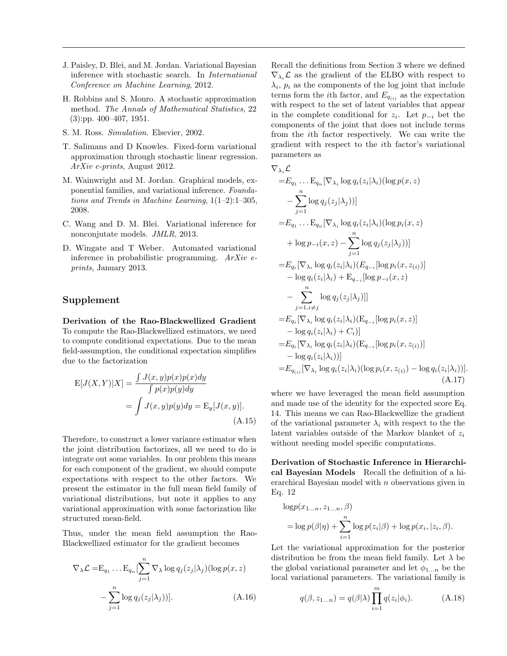- <span id="page-9-2"></span>J. Paisley, D. Blei, and M. Jordan. Variational Bayesian inference with stochastic search. In International Conference on Machine Learning, 2012.
- <span id="page-9-6"></span>H. Robbins and S. Monro. A stochastic approximation method. The Annals of Mathematical Statistics, 22 (3):pp. 400–407, 1951.
- <span id="page-9-3"></span>S. M. Ross. Simulation. Elsevier, 2002.
- <span id="page-9-5"></span>T. Salimans and D Knowles. Fixed-form variational approximation through stochastic linear regression. ArXiv e-prints, August 2012.
- <span id="page-9-0"></span>M. Wainwright and M. Jordan. Graphical models, exponential families, and variational inference. Foundations and Trends in Machine Learning, 1(1–2):1–305, 2008.
- <span id="page-9-1"></span>C. Wang and D. M. Blei. Variational inference for nonconjutate models. JMLR, 2013.
- <span id="page-9-4"></span>D. Wingate and T Weber. Automated variational inference in probabilistic programming.  $ArXiv$  eprints, January 2013.

# Supplement

Derivation of the Rao-Blackwellized Gradient To compute the Rao-Blackwellized estimators, we need to compute conditional expectations. Due to the mean field-assumption, the conditional expectation simplifies due to the factorization

$$
E[J(X,Y)|X] = \frac{\int J(x,y)p(x)p(x)dy}{\int p(x)p(y)dy}
$$

$$
= \int J(x,y)p(y)dy = E_y[J(x,y)].
$$
(A.15)

Therefore, to construct a lower variance estimator when the joint distribution factorizes, all we need to do is integrate out some variables. In our problem this means for each component of the gradient, we should compute expectations with respect to the other factors. We present the estimator in the full mean field family of variational distributions, but note it applies to any variational approximation with some factorization like structured mean-field.

Thus, under the mean field assumption the Rao-Blackwellized estimator for the gradient becomes

$$
\nabla_{\lambda} \mathcal{L} = E_{q_1} \dots E_{q_n} \left[ \sum_{j=1}^n \nabla_{\lambda} \log q_j(z_j | \lambda_j) (\log p(x, z)) \right]
$$

$$
- \sum_{j=1}^n \log q_j(z_j | \lambda_j))]. \tag{A.16}
$$

Recall the definitions from Section 3 where we defined  $\nabla_{\lambda_i} \mathcal{L}$  as the gradient of the ELBO with respect to  $\lambda_i$ ,  $p_i$  as the components of the log joint that include terms form the *i*th factor, and  $E_{q(i)}$  as the expectation with respect to the set of latent variables that appear in the complete conditional for  $z_i$ . Let  $p_{-i}$  bet the components of the joint that does not include terms from the ith factor respectively. We can write the gradient with respect to the ith factor's variational parameters as

$$
\nabla_{\lambda_i} \mathcal{L}
$$
\n
$$
= E_{q_1} \dots E_{q_n} [\nabla_{\lambda_i} \log q_i(z_i | \lambda_i) (\log p(x, z) - \sum_{j=1}^n \log q_j(z_j | \lambda_j))]
$$
\n
$$
= E_{q_1} \dots E_{q_n} [\nabla_{\lambda_i} \log q_i(z_i | \lambda_i) (\log p_i(x, z) + \log p_{-i}(x, z) - \sum_{j=1}^n \log q_j(z_j | \lambda_j))]
$$
\n
$$
= E_{q_i} [\nabla_{\lambda_i} \log q_i(z_i | \lambda_i) (E_{q_{-i}} [\log p_i(x, z_{(i)})] - \log q_i(z_i | \lambda_i) + E_{q_{-i}} [\log p_{-i}(x, z) - \sum_{j=1, i \neq j}^n \log q_j(z_j | \lambda_j)]]
$$
\n
$$
= E_{q_i} [\nabla_{\lambda_i} \log q_i(z_i | \lambda_i) (E_{q_{-i}} [\log p_i(x, z)] - \log q_i(z_i | \lambda_i) + C_i)]
$$
\n
$$
= E_{q_i} [\nabla_{\lambda_i} \log q_i(z_i | \lambda_i) (E_{q_{-i}} [\log p_i(x, z_{(i)})] - \log q_i(z_i | \lambda_i))]]
$$
\n
$$
= E_{q_{(i)}} [\nabla_{\lambda_i} \log q_i(z_i | \lambda_i) (\log p_i(x, z_{(i)}) - \log q_i(z_i | \lambda_i))].
$$
\n(A.17)

where we have leveraged the mean field assumption and made use of the identity for the expected score Eq. 14. This means we can Rao-Blackwellize the gradient of the variational parameter  $\lambda_i$  with respect to the the latent variables outside of the Markov blanket of  $z_i$ without needing model specific computations.

Derivation of Stochastic Inference in Hierarchical Bayesian Models Recall the definition of a hierarchical Bayesian model with  $n$  observations given in Eq. 12

$$
\log p(x_{1...n}, z_{1...n}, \beta)
$$
  
= 
$$
\log p(\beta|\eta) + \sum_{i=1}^{n} \log p(z_i|\beta) + \log p(x_i, |z_i, \beta).
$$

Let the variational approximation for the posterior distribution be from the mean field family. Let  $\lambda$  be the global variational parameter and let  $\phi_{1...n}$  be the local variational parameters. The variational family is

$$
q(\beta, z_{1...n}) = q(\beta|\lambda) \prod_{i=1}^{m} q(z_i|\phi_i).
$$
 (A.18)